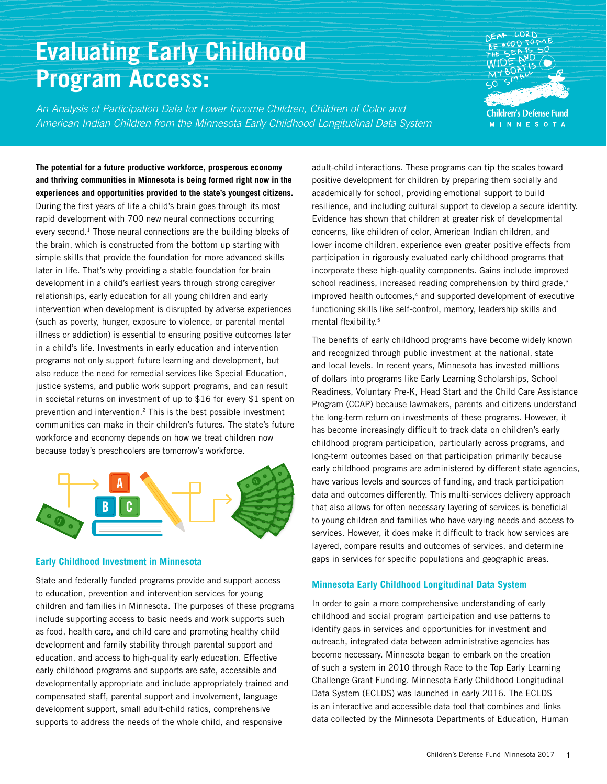# **Evaluating Early Childhood Program Access:**

*An Analysis of Participation Data for Lower Income Children, Children of Color and American Indian Children from the Minnesota Early Childhood Longitudinal Data System*



**The potential for a future productive workforce, prosperous economy and thriving communities in Minnesota is being formed right now in the experiences and opportunities provided to the state's youngest citizens.**  During the first years of life a child's brain goes through its most rapid development with 700 new neural connections occurring every second.<sup>1</sup> Those neural connections are the building blocks of the brain, which is constructed from the bottom up starting with simple skills that provide the foundation for more advanced skills later in life. That's why providing a stable foundation for brain development in a child's earliest years through strong caregiver relationships, early education for all young children and early intervention when development is disrupted by adverse experiences (such as poverty, hunger, exposure to violence, or parental mental illness or addiction) is essential to ensuring positive outcomes later in a child's life. Investments in early education and intervention programs not only support future learning and development, but also reduce the need for remedial services like Special Education, justice systems, and public work support programs, and can result in societal returns on investment of up to \$16 for every \$1 spent on prevention and intervention.2 This is the best possible investment communities can make in their children's futures. The state's future workforce and economy depends on how we treat children now because today's preschoolers are tomorrow's workforce.



### **Early Childhood Investment in Minnesota**

State and federally funded programs provide and support access to education, prevention and intervention services for young children and families in Minnesota. The purposes of these programs include supporting access to basic needs and work supports such as food, health care, and child care and promoting healthy child development and family stability through parental support and education, and access to high-quality early education. Effective early childhood programs and supports are safe, accessible and developmentally appropriate and include appropriately trained and compensated staff, parental support and involvement, language development support, small adult-child ratios, comprehensive supports to address the needs of the whole child, and responsive

adult-child interactions. These programs can tip the scales toward positive development for children by preparing them socially and academically for school, providing emotional support to build resilience, and including cultural support to develop a secure identity. Evidence has shown that children at greater risk of developmental concerns, like children of color, American Indian children, and lower income children, experience even greater positive effects from participation in rigorously evaluated early childhood programs that incorporate these high-quality components. Gains include improved school readiness, increased reading comprehension by third grade,<sup>3</sup> improved health outcomes, $4$  and supported development of executive functioning skills like self-control, memory, leadership skills and mental flexibility.5

The benefits of early childhood programs have become widely known and recognized through public investment at the national, state and local levels. In recent years, Minnesota has invested millions of dollars into programs like Early Learning Scholarships, School Readiness, Voluntary Pre-K, Head Start and the Child Care Assistance Program (CCAP) because lawmakers, parents and citizens understand the long-term return on investments of these programs. However, it has become increasingly difficult to track data on children's early childhood program participation, particularly across programs, and long-term outcomes based on that participation primarily because early childhood programs are administered by different state agencies, have various levels and sources of funding, and track participation data and outcomes differently. This multi-services delivery approach that also allows for often necessary layering of services is beneficial to young children and families who have varying needs and access to services. However, it does make it difficult to track how services are layered, compare results and outcomes of services, and determine gaps in services for specific populations and geographic areas.

### **Minnesota Early Childhood Longitudinal Data System**

In order to gain a more comprehensive understanding of early childhood and social program participation and use patterns to identify gaps in services and opportunities for investment and outreach, integrated data between administrative agencies has become necessary. Minnesota began to embark on the creation of such a system in 2010 through Race to the Top Early Learning Challenge Grant Funding. Minnesota Early Childhood Longitudinal Data System (ECLDS) was launched in early 2016. The ECLDS is an interactive and accessible data tool that combines and links data collected by the Minnesota Departments of Education, Human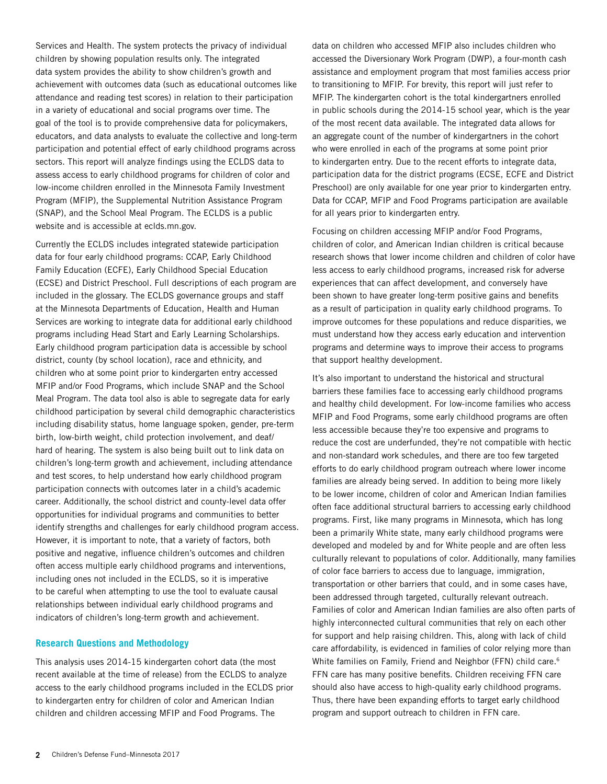Services and Health. The system protects the privacy of individual children by showing population results only. The integrated data system provides the ability to show children's growth and achievement with outcomes data (such as educational outcomes like attendance and reading test scores) in relation to their participation in a variety of educational and social programs over time. The goal of the tool is to provide comprehensive data for policymakers, educators, and data analysts to evaluate the collective and long-term participation and potential effect of early childhood programs across sectors. This report will analyze findings using the ECLDS data to assess access to early childhood programs for children of color and low-income children enrolled in the Minnesota Family Investment Program (MFIP), the Supplemental Nutrition Assistance Program (SNAP), and the School Meal Program. The ECLDS is a public website and is accessible at eclds.mn.gov.

Currently the ECLDS includes integrated statewide participation data for four early childhood programs: CCAP, Early Childhood Family Education (ECFE), Early Childhood Special Education (ECSE) and District Preschool. Full descriptions of each program are included in the glossary. The ECLDS governance groups and staff at the Minnesota Departments of Education, Health and Human Services are working to integrate data for additional early childhood programs including Head Start and Early Learning Scholarships. Early childhood program participation data is accessible by school district, county (by school location), race and ethnicity, and children who at some point prior to kindergarten entry accessed MFIP and/or Food Programs, which include SNAP and the School Meal Program. The data tool also is able to segregate data for early childhood participation by several child demographic characteristics including disability status, home language spoken, gender, pre-term birth, low-birth weight, child protection involvement, and deaf/ hard of hearing. The system is also being built out to link data on children's long-term growth and achievement, including attendance and test scores, to help understand how early childhood program participation connects with outcomes later in a child's academic career. Additionally, the school district and county-level data offer opportunities for individual programs and communities to better identify strengths and challenges for early childhood program access. However, it is important to note, that a variety of factors, both positive and negative, influence children's outcomes and children often access multiple early childhood programs and interventions, including ones not included in the ECLDS, so it is imperative to be careful when attempting to use the tool to evaluate causal relationships between individual early childhood programs and indicators of children's long-term growth and achievement.

### **Research Questions and Methodology**

This analysis uses 2014-15 kindergarten cohort data (the most recent available at the time of release) from the ECLDS to analyze access to the early childhood programs included in the ECLDS prior to kindergarten entry for children of color and American Indian children and children accessing MFIP and Food Programs. The

data on children who accessed MFIP also includes children who accessed the Diversionary Work Program (DWP), a four-month cash assistance and employment program that most families access prior to transitioning to MFIP. For brevity, this report will just refer to MFIP. The kindergarten cohort is the total kindergartners enrolled in public schools during the 2014-15 school year, which is the year of the most recent data available. The integrated data allows for an aggregate count of the number of kindergartners in the cohort who were enrolled in each of the programs at some point prior to kindergarten entry. Due to the recent efforts to integrate data, participation data for the district programs (ECSE, ECFE and District Preschool) are only available for one year prior to kindergarten entry. Data for CCAP, MFIP and Food Programs participation are available for all years prior to kindergarten entry.

Focusing on children accessing MFIP and/or Food Programs, children of color, and American Indian children is critical because research shows that lower income children and children of color have less access to early childhood programs, increased risk for adverse experiences that can affect development, and conversely have been shown to have greater long-term positive gains and benefits as a result of participation in quality early childhood programs. To improve outcomes for these populations and reduce disparities, we must understand how they access early education and intervention programs and determine ways to improve their access to programs that support healthy development.

It's also important to understand the historical and structural barriers these families face to accessing early childhood programs and healthy child development. For low-income families who access MFIP and Food Programs, some early childhood programs are often less accessible because they're too expensive and programs to reduce the cost are underfunded, they're not compatible with hectic and non-standard work schedules, and there are too few targeted efforts to do early childhood program outreach where lower income families are already being served. In addition to being more likely to be lower income, children of color and American Indian families often face additional structural barriers to accessing early childhood programs. First, like many programs in Minnesota, which has long been a primarily White state, many early childhood programs were developed and modeled by and for White people and are often less culturally relevant to populations of color. Additionally, many families of color face barriers to access due to language, immigration, transportation or other barriers that could, and in some cases have, been addressed through targeted, culturally relevant outreach. Families of color and American Indian families are also often parts of highly interconnected cultural communities that rely on each other for support and help raising children. This, along with lack of child care affordability, is evidenced in families of color relying more than White families on Family, Friend and Neighbor (FFN) child care.<sup>6</sup> FFN care has many positive benefits. Children receiving FFN care should also have access to high-quality early childhood programs. Thus, there have been expanding efforts to target early childhood program and support outreach to children in FFN care.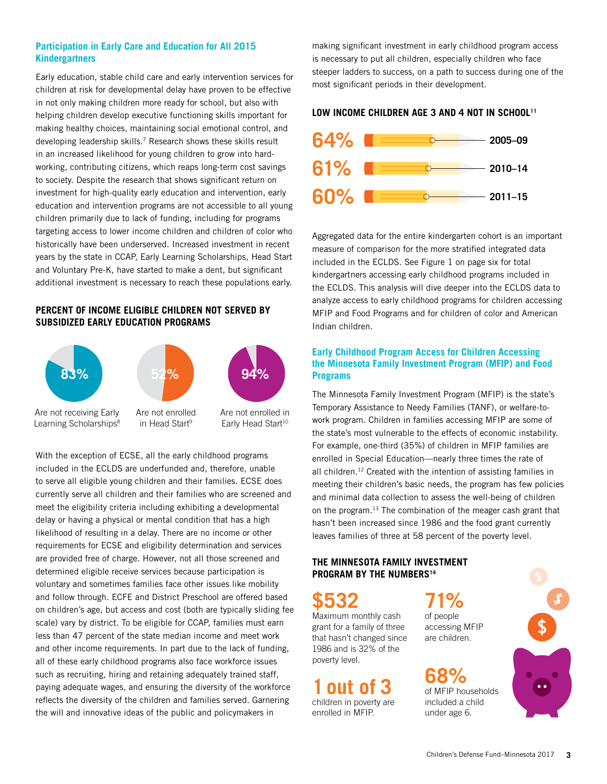# **Participation in Early Care and Education for All 2015 Kindergartners**

Early education, stable child care and early intervention services for children at risk for developmental delay have proven to be effective in not only making children more ready for school, but also with helping children develop executive functioning skills important for making healthy choices, maintaining social emotional control, and developing leadership skills.<sup>7</sup> Research shows these skills result in an increased likelihood for young children to grow into hardworking, contributing citizens, which reaps long-term cost savings to society. Despite the research that shows significant return on investment for high-quality early education and intervention, early education and intervention programs are not accessible to all young children primarily due to lack of funding, including for programs targeting access to lower income children and children of color who historically have been underserved. Increased investment in recent years by the state in CCAP, Early Learning Scholarships, Head Start and Voluntary Pre-K, have started to make a dent, but significant additional investment is necessary to reach these populations early.

# **PERCENT OF INCOME ELIGIBLE CHILDREN NOT SERVED BY SUBSIDIZED EARLY EDUCATION PROGRAMS**



With the exception of ECSE, all the early childhood programs included in the ECLDS are underfunded and, therefore, unable to serve all eligible young children and their families. ECSE does currently serve all children and their families who are screened and meet the eligibility criteria including exhibiting a developmental delay or having a physical or mental condition that has a high likelihood of resulting in a delay. There are no income or other requirements for ECSE and eligibility determination and services are provided free of charge. However, not all those screened and determined eligible receive services because participation is voluntary and sometimes families face other issues like mobility and follow through. ECFE and District Preschool are offered based on children's age, but access and cost (both are typically sliding fee scale) vary by district. To be eligible for CCAP, families must earn less than 47 percent of the state median income and meet work and other income requirements. In part due to the lack of funding, all of these early childhood programs also face workforce issues such as recruiting, hiring and retaining adequately trained staff, paying adequate wages, and ensuring the diversity of the workforce reflects the diversity of the children and families served. Garnering the will and innovative ideas of the public and policymakers in

making significant investment in early childhood program access is necessary to put all children, especially children who face steeper ladders to success, on a path to success during one of the most significant periods in their development.

### LOW INCOME CHILDREN AGE 3 AND 4 NOT IN SCHOOL<sup>11</sup>



Aggregated data for the entire kindergarten cohort is an important measure of comparison for the more stratified integrated data included in the ECLDS. See Figure 1 on page six for total kindergartners accessing early childhood programs included in the ECLDS. This analysis will dive deeper into the ECLDS data to analyze access to early childhood programs for children accessing MFIP and Food Programs and for children of color and American Indian children.

# **Early Childhood Program Access for Children Accessing the Minnesota Family Investment Program (MFIP) and Food Programs**

The Minnesota Family Investment Program (MFIP) is the state's Temporary Assistance to Needy Families (TANF), or welfare-towork program. Children in families accessing MFIP are some of the state's most vulnerable to the effects of economic instability. For example, one-third (35%) of children in MFIP families are enrolled in Special Education—nearly three times the rate of all children.12 Created with the intention of assisting families in meeting their children's basic needs, the program has few policies and minimal data collection to assess the well-being of children on the program.13 The combination of the meager cash grant that hasn't been increased since 1986 and the food grant currently leaves families of three at 58 percent of the poverty level.

### **THE MINNESOTA FAMILY INVESTMENT PROGRAM BY THE NUMBERS<sup>14</sup>**

**\$532** 

Maximum monthly cash grant for a family of three that hasn't changed since 1986 and is 32% of the poverty level.

**1out of 3**  children in poverty are enrolled in MFIP.

**71%**  of people accessing MFIP

are children.

**68%**  of MFIP households included a child under age 6.

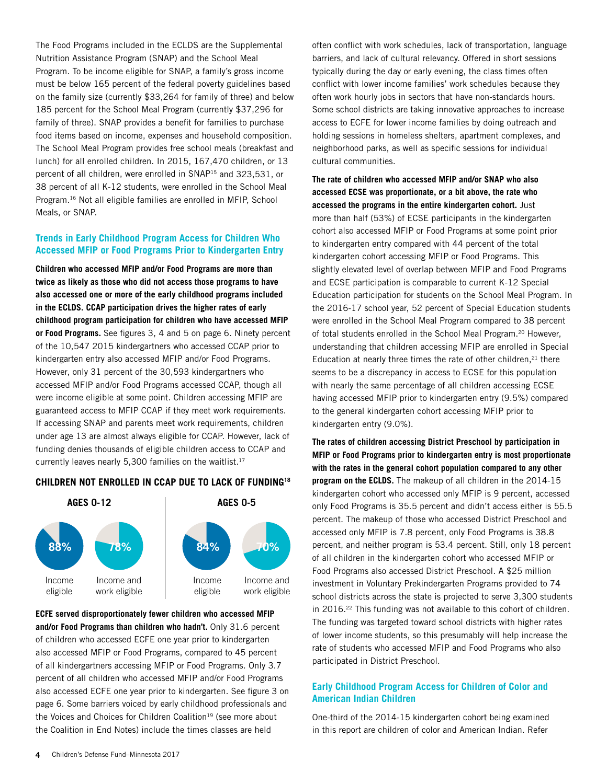The Food Programs included in the ECLDS are the Supplemental Nutrition Assistance Program (SNAP) and the School Meal Program. To be income eligible for SNAP, a family's gross income must be below 165 percent of the federal poverty guidelines based on the family size (currently \$33,264 for family of three) and below 185 percent for the School Meal Program (currently \$37,296 for family of three). SNAP provides a benefit for families to purchase food items based on income, expenses and household composition. The School Meal Program provides free school meals (breakfast and lunch) for all enrolled children. In 2015, 167,470 children, or 13 percent of all children, were enrolled in SNAP15 and 323,531, or 38 percent of all K-12 students, were enrolled in the School Meal Program.16 Not all eligible families are enrolled in MFIP, School Meals, or SNAP.

### **Trends in Early Childhood Program Access for Children Who Accessed MFIP or Food Programs Prior to Kindergarten Entry**

**Children who accessed MFIP and/or Food Programs are more than twice as likely as those who did not access those programs to have also accessed one or more of the early childhood programs included in the ECLDS. CCAP participation drives the higher rates of early childhood program participation for children who have accessed MFIP or Food Programs.** See figures 3, 4 and 5 on page 6. Ninety percent of the 10,547 2015 kindergartners who accessed CCAP prior to kindergarten entry also accessed MFIP and/or Food Programs. However, only 31 percent of the 30,593 kindergartners who accessed MFIP and/or Food Programs accessed CCAP, though all were income eligible at some point. Children accessing MFIP are guaranteed access to MFIP CCAP if they meet work requirements. If accessing SNAP and parents meet work requirements, children under age 13 are almost always eligible for CCAP. However, lack of funding denies thousands of eligible children access to CCAP and currently leaves nearly 5,300 families on the waitlist.<sup>17</sup>

### **CHILDREN NOT ENROLLED IN CCAP DUE TO LACK OF FUNDING18**



**ECFE served disproportionately fewer children who accessed MFIP and/or Food Programs than children who hadn't.** Only 31.6 percent of children who accessed ECFE one year prior to kindergarten also accessed MFIP or Food Programs, compared to 45 percent of all kindergartners accessing MFIP or Food Programs. Only 3.7 percent of all children who accessed MFIP and/or Food Programs also accessed ECFE one year prior to kindergarten. See figure 3 on page 6. Some barriers voiced by early childhood professionals and the Voices and Choices for Children Coalition<sup>19</sup> (see more about the Coalition in End Notes) include the times classes are held

often conflict with work schedules, lack of transportation, language barriers, and lack of cultural relevancy. Offered in short sessions typically during the day or early evening, the class times often conflict with lower income families' work schedules because they often work hourly jobs in sectors that have non-standards hours. Some school districts are taking innovative approaches to increase access to ECFE for lower income families by doing outreach and holding sessions in homeless shelters, apartment complexes, and neighborhood parks, as well as specific sessions for individual cultural communities.

**The rate of children who accessed MFIP and/or SNAP who also accessed ECSE was proportionate, or a bit above, the rate who accessed the programs in the entire kindergarten cohort.** Just more than half (53%) of ECSE participants in the kindergarten cohort also accessed MFIP or Food Programs at some point prior to kindergarten entry compared with 44 percent of the total kindergarten cohort accessing MFIP or Food Programs. This slightly elevated level of overlap between MFIP and Food Programs and ECSE participation is comparable to current K-12 Special Education participation for students on the School Meal Program. In the 2016-17 school year, 52 percent of Special Education students were enrolled in the School Meal Program compared to 38 percent of total students enrolled in the School Meal Program.<sup>20</sup> However, understanding that children accessing MFIP are enrolled in Special Education at nearly three times the rate of other children, $21$  there seems to be a discrepancy in access to ECSE for this population with nearly the same percentage of all children accessing ECSE having accessed MFIP prior to kindergarten entry (9.5%) compared to the general kindergarten cohort accessing MFIP prior to kindergarten entry (9.0%).

**The rates of children accessing District Preschool by participation in MFIP or Food Programs prior to kindergarten entry is most proportionate with the rates in the general cohort population compared to any other program on the ECLDS.** The makeup of all children in the 2014-15 kindergarten cohort who accessed only MFIP is 9 percent, accessed only Food Programs is 35.5 percent and didn't access either is 55.5 percent. The makeup of those who accessed District Preschool and accessed only MFIP is 7.8 percent, only Food Programs is 38.8 percent, and neither program is 53.4 percent. Still, only 18 percent of all children in the kindergarten cohort who accessed MFIP or Food Programs also accessed District Preschool. A \$25 million investment in Voluntary Prekindergarten Programs provided to 74 school districts across the state is projected to serve 3,300 students in 2016.<sup>22</sup> This funding was not available to this cohort of children. The funding was targeted toward school districts with higher rates of lower income students, so this presumably will help increase the rate of students who accessed MFIP and Food Programs who also participated in District Preschool.

### **Early Childhood Program Access for Children of Color and American Indian Children**

One-third of the 2014-15 kindergarten cohort being examined in this report are children of color and American Indian. Refer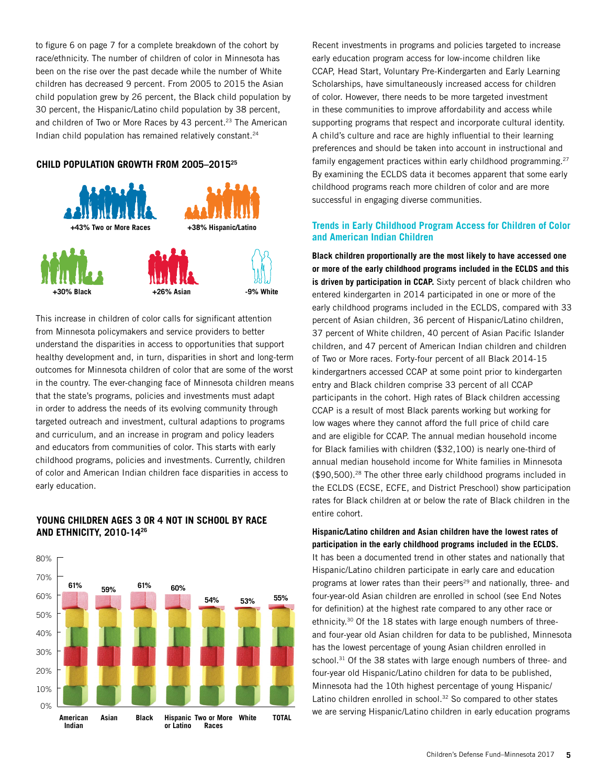to figure 6 on page 7 for a complete breakdown of the cohort by race/ethnicity. The number of children of color in Minnesota has been on the rise over the past decade while the number of White children has decreased 9 percent. From 2005 to 2015 the Asian child population grew by 26 percent, the Black child population by 30 percent, the Hispanic/Latino child population by 38 percent, and children of Two or More Races by 43 percent.<sup>23</sup> The American Indian child population has remained relatively constant.24

### **CHILD POPULATION GROWTH FROM 2005–201525**



This increase in children of color calls for significant attention from Minnesota policymakers and service providers to better understand the disparities in access to opportunities that support healthy development and, in turn, disparities in short and long-term outcomes for Minnesota children of color that are some of the worst in the country. The ever-changing face of Minnesota children means that the state's programs, policies and investments must adapt in order to address the needs of its evolving community through targeted outreach and investment, cultural adaptions to programs and curriculum, and an increase in program and policy leaders and educators from communities of color. This starts with early childhood programs, policies and investments. Currently, children of color and American Indian children face disparities in access to early education.

# **YOUNG CHILDREN AGES 3 OR 4 NOT IN SCHOOL BY RACE AND ETHNICITY, 2010-1426**



Recent investments in programs and policies targeted to increase early education program access for low-income children like CCAP, Head Start, Voluntary Pre-Kindergarten and Early Learning Scholarships, have simultaneously increased access for children of color. However, there needs to be more targeted investment in these communities to improve affordability and access while supporting programs that respect and incorporate cultural identity. A child's culture and race are highly influential to their learning preferences and should be taken into account in instructional and family engagement practices within early childhood programming.27 By examining the ECLDS data it becomes apparent that some early childhood programs reach more children of color and are more successful in engaging diverse communities.

### **Trends in Early Childhood Program Access for Children of Color and American Indian Children**

**Black children proportionally are the most likely to have accessed one or more of the early childhood programs included in the ECLDS and this is driven by participation in CCAP.** Sixty percent of black children who entered kindergarten in 2014 participated in one or more of the early childhood programs included in the ECLDS, compared with 33 percent of Asian children, 36 percent of Hispanic/Latino children, 37 percent of White children, 40 percent of Asian Pacific Islander children, and 47 percent of American Indian children and children of Two or More races. Forty-four percent of all Black 2014-15 kindergartners accessed CCAP at some point prior to kindergarten entry and Black children comprise 33 percent of all CCAP participants in the cohort. High rates of Black children accessing CCAP is a result of most Black parents working but working for low wages where they cannot afford the full price of child care and are eligible for CCAP. The annual median household income for Black families with children (\$32,100) is nearly one-third of annual median household income for White families in Minnesota (\$90,500).28 The other three early childhood programs included in the ECLDS (ECSE, ECFE, and District Preschool) show participation rates for Black children at or below the rate of Black children in the entire cohort.

**Hispanic/Latino children and Asian children have the lowest rates of participation in the early childhood programs included in the ECLDS.** 

It has been a documented trend in other states and nationally that Hispanic/Latino children participate in early care and education programs at lower rates than their peers<sup>29</sup> and nationally, three- and four-year-old Asian children are enrolled in school (see End Notes for definition) at the highest rate compared to any other race or ethnicity.30 Of the 18 states with large enough numbers of threeand four-year old Asian children for data to be published, Minnesota has the lowest percentage of young Asian children enrolled in school.<sup>31</sup> Of the 38 states with large enough numbers of three- and four-year old Hispanic/Latino children for data to be published, Minnesota had the 10th highest percentage of young Hispanic/ Latino children enrolled in school.<sup>32</sup> So compared to other states we are serving Hispanic/Latino children in early education programs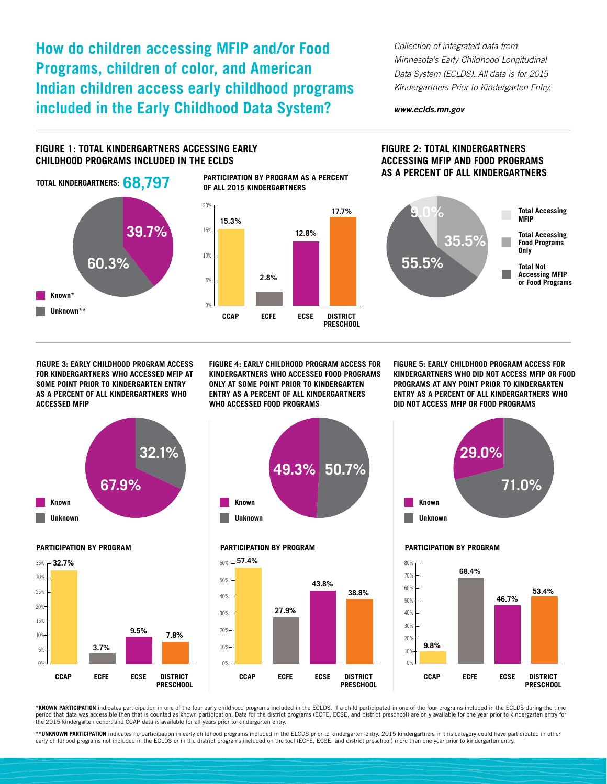**How do children accessing MFIP and/or Food Programs, children of color, and American Indian children access early childhood programs included in the Early Childhood Data System?**

*Collection of integrated data from Minnesota's Early Childhood Longitudinal Data System (ECLDS). All data is for 2015 Kindergartners Prior to Kindergarten Entry.*

### *www.eclds.mn.gov*

### **FIGURE 1: TOTAL KINDERGARTNERS ACCESSING EARLY CHILDHOOD PROGRAMS INCLUDED IN THE ECLDS**



### **FIGURE 2: TOTAL KINDERGARTNERS ACCESSING MFIP AND FOOD PROGRAMS AS A PERCENT OF ALL KINDERGARTNERS**



**FIGURE 3: EARLY CHILDHOOD PROGRAM ACCESS FOR KINDERGARTNERS WHO ACCESSED MFIP AT SOME POINT PRIOR TO KINDERGARTEN ENTRY AS A PERCENT OF ALL KINDERGARTNERS WHO ACCESSED MFIP**

**FIGURE 4: EARLY CHILDHOOD PROGRAM ACCESS FOR KINDERGARTNERS WHO ACCESSED FOOD PROGRAMS ONLY AT SOME POINT PRIOR TO KINDERGARTEN ENTRY AS A PERCENT OF ALL KINDERGARTNERS WHO ACCESSED FOOD PROGRAMS**

**17.7%**

**FIGURE 5: EARLY CHILDHOOD PROGRAM ACCESS FOR KINDERGARTNERS WHO DID NOT ACCESS MFIP OR FOOD PROGRAMS AT ANY POINT PRIOR TO KINDERGARTEN ENTRY AS A PERCENT OF ALL KINDERGARTNERS WHO DID NOT ACCESS MFIP OR FOOD PROGRAMS**



### **PARTICIPATION BY PROGRAM**





### **PARTICIPATION BY PROGRAM**





### **PARTICIPATION BY PROGRAM**



**\*KNOWN PARTICIPATION** indicates participation in one of the four early childhood programs included in the ECLDS. If a child participated in one of the four programs included in the ECLDS during the time period that data was accessible then that is counted as known participation. Data for the district programs (ECFE, ECSE, and district preschool) are only available for one year prior to kindergarten entry for<br>the 2015 kind

\*\*UNKNOWN PARTICIPATION indicates no participation in early childhood programs included in the ELCDS prior to kindergarten entry. 2015 kindergartners in this category could have participated in other early childhood programs not included in the ECLDS or in the district programs included on the tool (ECFE, ECSE, and district preschool) more than one year prior to kindergarten entry.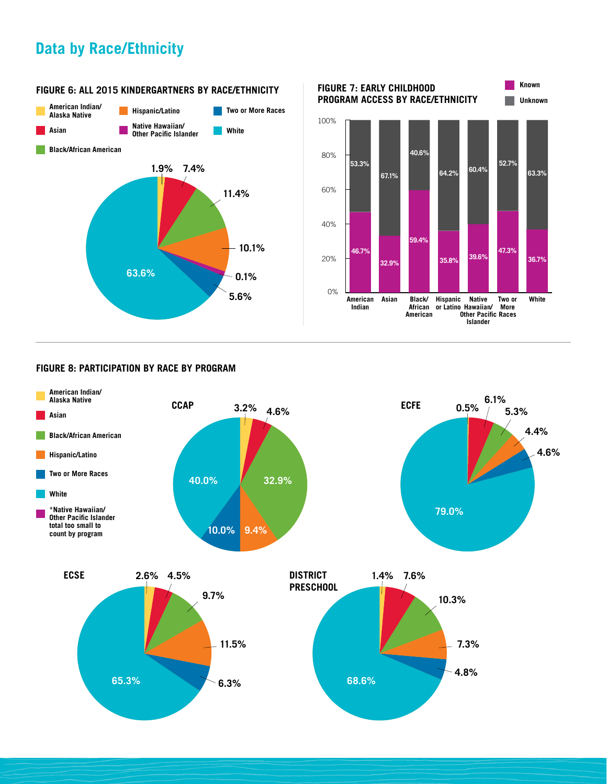# **Data by Race/Ethnicity**



### **FIGURE 6: ALL 2015 KINDERGARTNERS BY RACE/ETHNICITY**



# **FIGURE 8: PARTICIPATION BY RACE BY PROGRAM**

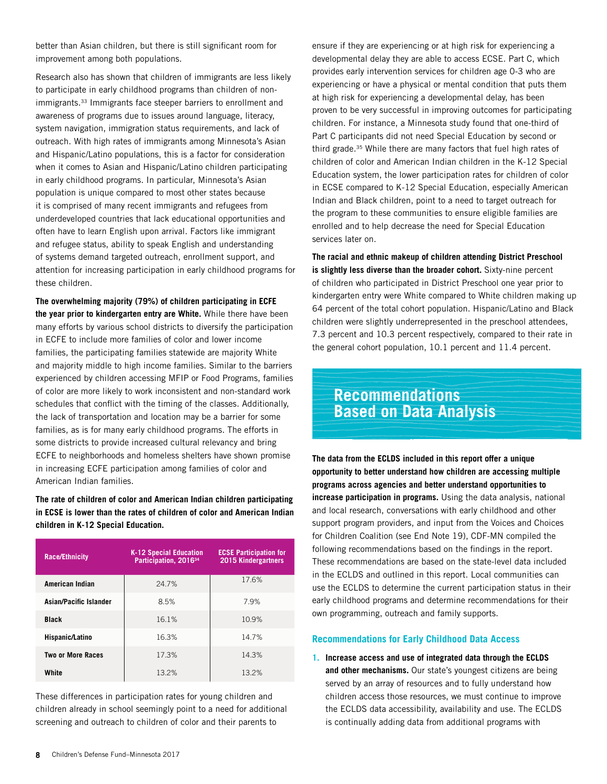better than Asian children, but there is still significant room for improvement among both populations.

Research also has shown that children of immigrants are less likely to participate in early childhood programs than children of nonimmigrants.33 Immigrants face steeper barriers to enrollment and awareness of programs due to issues around language, literacy, system navigation, immigration status requirements, and lack of outreach. With high rates of immigrants among Minnesota's Asian and Hispanic/Latino populations, this is a factor for consideration when it comes to Asian and Hispanic/Latino children participating in early childhood programs. In particular, Minnesota's Asian population is unique compared to most other states because it is comprised of many recent immigrants and refugees from underdeveloped countries that lack educational opportunities and often have to learn English upon arrival. Factors like immigrant and refugee status, ability to speak English and understanding of systems demand targeted outreach, enrollment support, and attention for increasing participation in early childhood programs for these children.

**The overwhelming majority (79%) of children participating in ECFE the year prior to kindergarten entry are White.** While there have been many efforts by various school districts to diversify the participation in ECFE to include more families of color and lower income families, the participating families statewide are majority White and majority middle to high income families. Similar to the barriers experienced by children accessing MFIP or Food Programs, families of color are more likely to work inconsistent and non-standard work schedules that conflict with the timing of the classes. Additionally, the lack of transportation and location may be a barrier for some families, as is for many early childhood programs. The efforts in some districts to provide increased cultural relevancy and bring ECFE to neighborhoods and homeless shelters have shown promise in increasing ECFE participation among families of color and American Indian families.

**The rate of children of color and American Indian children participating in ECSE is lower than the rates of children of color and American Indian children in K-12 Special Education.** 

| <b>Race/Ethnicity</b>  | <b>K-12 Special Education</b><br>Participation, 2016 <sup>34</sup> | <b>ECSE Participation for</b><br><b>2015 Kindergartners</b> |
|------------------------|--------------------------------------------------------------------|-------------------------------------------------------------|
| American Indian        | 24.7%                                                              | 17.6%                                                       |
| Asian/Pacific Islander | 8.5%                                                               | 7.9%                                                        |
| <b>Black</b>           | 16.1%                                                              | 10.9%                                                       |
| Hispanic/Latino        | 16.3%                                                              | 14.7%                                                       |
| Two or More Races      | 17.3%                                                              | 14.3%                                                       |
| White                  | 13.2%                                                              | 13.2%                                                       |

These differences in participation rates for young children and children already in school seemingly point to a need for additional screening and outreach to children of color and their parents to

ensure if they are experiencing or at high risk for experiencing a developmental delay they are able to access ECSE. Part C, which provides early intervention services for children age 0-3 who are experiencing or have a physical or mental condition that puts them at high risk for experiencing a developmental delay, has been proven to be very successful in improving outcomes for participating children. For instance, a Minnesota study found that one-third of Part C participants did not need Special Education by second or third grade.35 While there are many factors that fuel high rates of children of color and American Indian children in the K-12 Special Education system, the lower participation rates for children of color in ECSE compared to K-12 Special Education, especially American Indian and Black children, point to a need to target outreach for the program to these communities to ensure eligible families are enrolled and to help decrease the need for Special Education services later on.

**The racial and ethnic makeup of children attending District Preschool is slightly less diverse than the broader cohort.** Sixty-nine percent of children who participated in District Preschool one year prior to kindergarten entry were White compared to White children making up 64 percent of the total cohort population. Hispanic/Latino and Black children were slightly underrepresented in the preschool attendees, 7.3 percent and 10.3 percent respectively, compared to their rate in the general cohort population, 10.1 percent and 11.4 percent.

# **Recommendations Based on Data Analysis**

**The data from the ECLDS included in this report offer a unique opportunity to better understand how children are accessing multiple programs across agencies and better understand opportunities to increase participation in programs.** Using the data analysis, national and local research, conversations with early childhood and other support program providers, and input from the Voices and Choices for Children Coalition (see End Note 19), CDF-MN compiled the following recommendations based on the findings in the report. These recommendations are based on the state-level data included in the ECLDS and outlined in this report. Local communities can use the ECLDS to determine the current participation status in their early childhood programs and determine recommendations for their own programming, outreach and family supports.

### **Recommendations for Early Childhood Data Access**

**1. Increase access and use of integrated data through the ECLDS and other mechanisms.** Our state's youngest citizens are being served by an array of resources and to fully understand how children access those resources, we must continue to improve the ECLDS data accessibility, availability and use. The ECLDS is continually adding data from additional programs with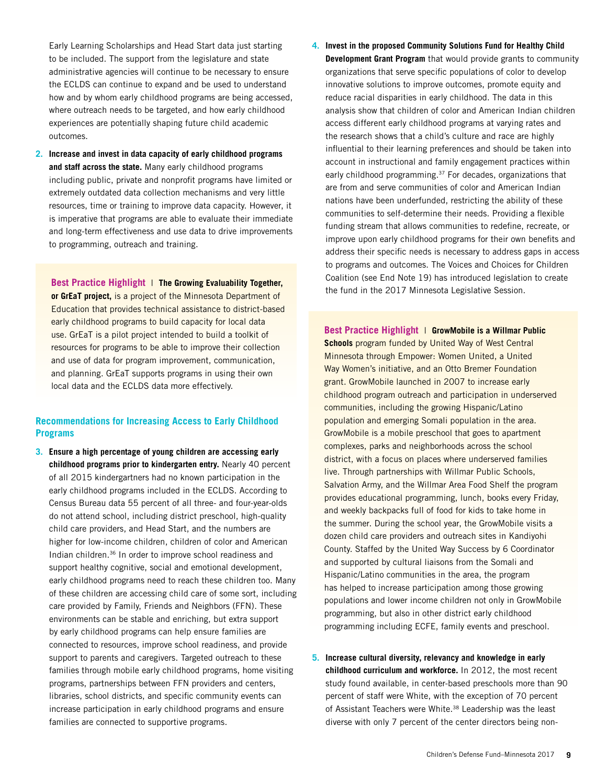Early Learning Scholarships and Head Start data just starting to be included. The support from the legislature and state administrative agencies will continue to be necessary to ensure the ECLDS can continue to expand and be used to understand how and by whom early childhood programs are being accessed, where outreach needs to be targeted, and how early childhood experiences are potentially shaping future child academic outcomes.

**2. Increase and invest in data capacity of early childhood programs and staff across the state.** Many early childhood programs including public, private and nonprofit programs have limited or extremely outdated data collection mechanisms and very little resources, time or training to improve data capacity. However, it is imperative that programs are able to evaluate their immediate and long-term effectiveness and use data to drive improvements to programming, outreach and training.

**or GrEaT project,** is a project of the Minnesota Department of Education that provides technical assistance to district-based early childhood programs to build capacity for local data use. GrEaT is a pilot project intended to build a toolkit of resources for programs to be able to improve their collection and use of data for program improvement, communication, and planning. GrEaT supports programs in using their own local data and the ECLDS data more effectively.

# **Recommendations for Increasing Access to Early Childhood Programs**

**3. Ensure a high percentage of young children are accessing early childhood programs prior to kindergarten entry.** Nearly 40 percent of all 2015 kindergartners had no known participation in the early childhood programs included in the ECLDS. According to Census Bureau data 55 percent of all three- and four-year-olds do not attend school, including district preschool, high-quality child care providers, and Head Start, and the numbers are higher for low-income children, children of color and American Indian children.36 In order to improve school readiness and support healthy cognitive, social and emotional development, early childhood programs need to reach these children too. Many of these children are accessing child care of some sort, including care provided by Family, Friends and Neighbors (FFN). These environments can be stable and enriching, but extra support by early childhood programs can help ensure families are connected to resources, improve school readiness, and provide support to parents and caregivers. Targeted outreach to these families through mobile early childhood programs, home visiting programs, partnerships between FFN providers and centers, libraries, school districts, and specific community events can increase participation in early childhood programs and ensure families are connected to supportive programs.

**4. Invest in the proposed Community Solutions Fund for Healthy Child Development Grant Program** that would provide grants to community organizations that serve specific populations of color to develop innovative solutions to improve outcomes, promote equity and reduce racial disparities in early childhood. The data in this analysis show that children of color and American Indian children access different early childhood programs at varying rates and the research shows that a child's culture and race are highly influential to their learning preferences and should be taken into account in instructional and family engagement practices within early childhood programming.<sup>37</sup> For decades, organizations that are from and serve communities of color and American Indian nations have been underfunded, restricting the ability of these communities to self-determine their needs. Providing a flexible funding stream that allows communities to redefine, recreate, or improve upon early childhood programs for their own benefits and address their specific needs is necessary to address gaps in access to programs and outcomes. The Voices and Choices for Children Coalition (see End Note 19) has introduced legislation to create **the fund in the 2017 Minnesota Legislative Session. Best Practice Highlight** | **The Growing Evaluability Together, Best Practice Highlight** | **The Growing Evaluability Together, Best Practice Highlight** | **Evaluabil** 

> **Best Practice Highlight** | **GrowMobile is a Willmar Public Schools** program funded by United Way of West Central Minnesota through Empower: Women United, a United Way Women's initiative, and an Otto Bremer Foundation grant. GrowMobile launched in 2007 to increase early childhood program outreach and participation in underserved communities, including the growing Hispanic/Latino population and emerging Somali population in the area. GrowMobile is a mobile preschool that goes to apartment complexes, parks and neighborhoods across the school district, with a focus on places where underserved families live. Through partnerships with Willmar Public Schools, Salvation Army, and the Willmar Area Food Shelf the program provides educational programming, lunch, books every Friday, and weekly backpacks full of food for kids to take home in the summer. During the school year, the GrowMobile visits a dozen child care providers and outreach sites in Kandiyohi County. Staffed by the United Way Success by 6 Coordinator and supported by cultural liaisons from the Somali and Hispanic/Latino communities in the area, the program has helped to increase participation among those growing populations and lower income children not only in GrowMobile programming, but also in other district early childhood programming including ECFE, family events and preschool.

**5. Increase cultural diversity, relevancy and knowledge in early childhood curriculum and workforce.** In 2012, the most recent study found available, in center-based preschools more than 90 percent of staff were White, with the exception of 70 percent of Assistant Teachers were White.<sup>38</sup> Leadership was the least diverse with only 7 percent of the center directors being non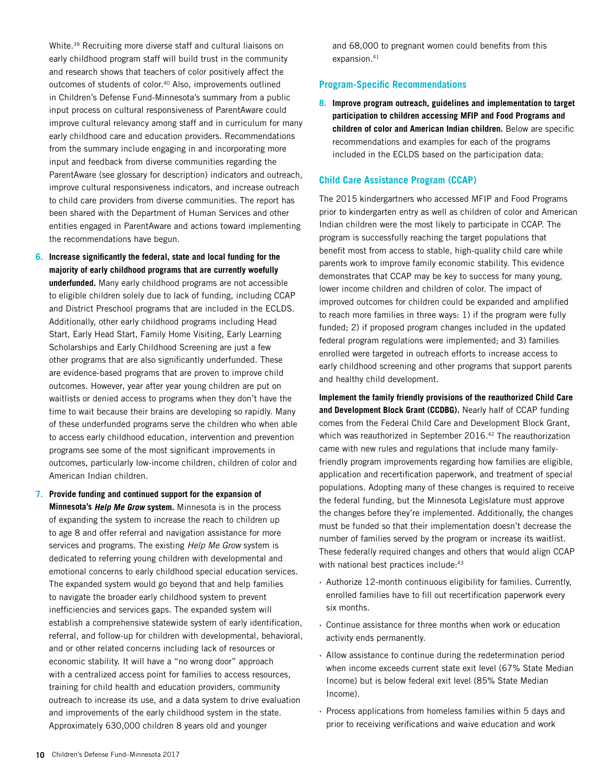White.39 Recruiting more diverse staff and cultural liaisons on early childhood program staff will build trust in the community and research shows that teachers of color positively affect the outcomes of students of color.40 Also, improvements outlined in Children's Defense Fund-Minnesota's summary from a public input process on cultural responsiveness of ParentAware could improve cultural relevancy among staff and in curriculum for many early childhood care and education providers. Recommendations from the summary include engaging in and incorporating more input and feedback from diverse communities regarding the ParentAware (see glossary for description) indicators and outreach, improve cultural responsiveness indicators, and increase outreach to child care providers from diverse communities. The report has been shared with the Department of Human Services and other entities engaged in ParentAware and actions toward implementing the recommendations have begun.

- **6. Increase significantly the federal, state and local funding for the majority of early childhood programs that are currently woefully underfunded.** Many early childhood programs are not accessible to eligible children solely due to lack of funding, including CCAP and District Preschool programs that are included in the ECLDS. Additionally, other early childhood programs including Head Start, Early Head Start, Family Home Visiting, Early Learning Scholarships and Early Childhood Screening are just a few other programs that are also significantly underfunded. These are evidence-based programs that are proven to improve child outcomes. However, year after year young children are put on waitlists or denied access to programs when they don't have the time to wait because their brains are developing so rapidly. Many of these underfunded programs serve the children who when able to access early childhood education, intervention and prevention programs see some of the most significant improvements in outcomes, particularly low-income children, children of color and American Indian children.
- **7. Provide funding and continued support for the expansion of Minnesota's Help Me Grow system.** Minnesota is in the process of expanding the system to increase the reach to children up to age 8 and offer referral and navigation assistance for more services and programs. The existing *Help Me Grow* system is dedicated to referring young children with developmental and emotional concerns to early childhood special education services. The expanded system would go beyond that and help families to navigate the broader early childhood system to prevent inefficiencies and services gaps. The expanded system will establish a comprehensive statewide system of early identification, referral, and follow-up for children with developmental, behavioral, and or other related concerns including lack of resources or economic stability. It will have a "no wrong door" approach with a centralized access point for families to access resources, training for child health and education providers, community outreach to increase its use, and a data system to drive evaluation and improvements of the early childhood system in the state. Approximately 630,000 children 8 years old and younger

and 68,000 to pregnant women could benefits from this expansion.<sup>41</sup>

### **Program-Specific Recommendations**

**8. Improve program outreach, guidelines and implementation to target participation to children accessing MFIP and Food Programs and children of color and American Indian children.** Below are specific recommendations and examples for each of the programs included in the ECLDS based on the participation data:

### **Child Care Assistance Program (CCAP)**

The 2015 kindergartners who accessed MFIP and Food Programs prior to kindergarten entry as well as children of color and American Indian children were the most likely to participate in CCAP. The program is successfully reaching the target populations that benefit most from access to stable, high-quality child care while parents work to improve family economic stability. This evidence demonstrates that CCAP may be key to success for many young, lower income children and children of color. The impact of improved outcomes for children could be expanded and amplified to reach more families in three ways: 1) if the program were fully funded; 2) if proposed program changes included in the updated federal program regulations were implemented; and 3) families enrolled were targeted in outreach efforts to increase access to early childhood screening and other programs that support parents and healthy child development.

**Implement the family friendly provisions of the reauthorized Child Care and Development Block Grant (CCDBG).** Nearly half of CCAP funding comes from the Federal Child Care and Development Block Grant, which was reauthorized in September 2016.<sup>42</sup> The reauthorization came with new rules and regulations that include many familyfriendly program improvements regarding how families are eligible, application and recertification paperwork, and treatment of special populations. Adopting many of these changes is required to receive the federal funding, but the Minnesota Legislature must approve the changes before they're implemented. Additionally, the changes must be funded so that their implementation doesn't decrease the number of families served by the program or increase its waitlist. These federally required changes and others that would align CCAP with national best practices include: 43

- · Authorize 12-month continuous eligibility for families. Currently, enrolled families have to fill out recertification paperwork every six months.
- · Continue assistance for three months when work or education activity ends permanently.
- · Allow assistance to continue during the redetermination period when income exceeds current state exit level (67% State Median Income) but is below federal exit level (85% State Median Income).
- · Process applications from homeless families within 5 days and prior to receiving verifications and waive education and work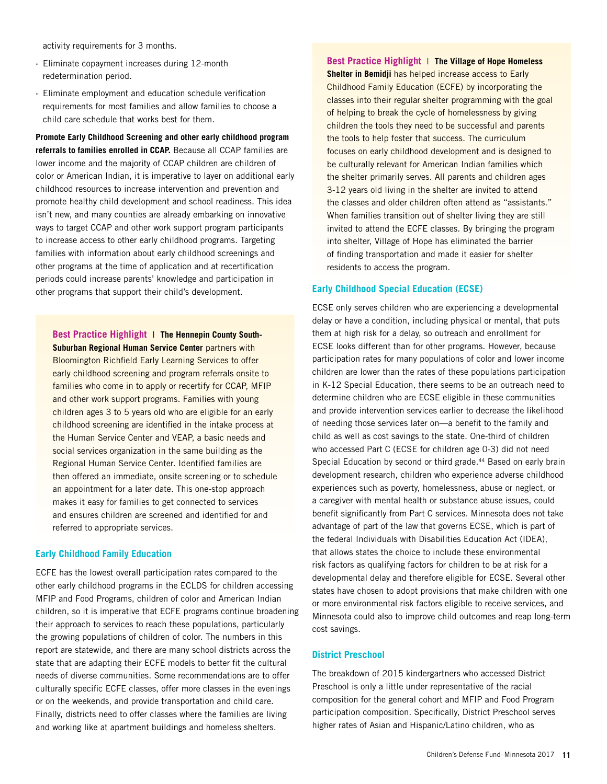activity requirements for 3 months.

- · Eliminate copayment increases during 12-month redetermination period.
- · Eliminate employment and education schedule verification requirements for most families and allow families to choose a child care schedule that works best for them.

**Promote Early Childhood Screening and other early childhood program referrals to families enrolled in CCAP.** Because all CCAP families are lower income and the majority of CCAP children are children of color or American Indian, it is imperative to layer on additional early childhood resources to increase intervention and prevention and promote healthy child development and school readiness. This idea isn't new, and many counties are already embarking on innovative ways to target CCAP and other work support program participants to increase access to other early childhood programs. Targeting families with information about early childhood screenings and other programs at the time of application and at recertification periods could increase parents' knowledge and participation in other programs that support their child's development.

**Best Practice Highlight** | **The Hennepin County South-Suburban Regional Human Service Center** partners with Bloomington Richfield Early Learning Services to offer early childhood screening and program referrals onsite to families who come in to apply or recertify for CCAP, MFIP and other work support programs. Families with young children ages 3 to 5 years old who are eligible for an early childhood screening are identified in the intake process at the Human Service Center and VEAP, a basic needs and social services organization in the same building as the Regional Human Service Center. Identified families are then offered an immediate, onsite screening or to schedule an appointment for a later date. This one-stop approach makes it easy for families to get connected to services and ensures children are screened and identified for and referred to appropriate services.

### **Early Childhood Family Education**

ECFE has the lowest overall participation rates compared to the other early childhood programs in the ECLDS for children accessing MFIP and Food Programs, children of color and American Indian children, so it is imperative that ECFE programs continue broadening their approach to services to reach these populations, particularly the growing populations of children of color. The numbers in this report are statewide, and there are many school districts across the state that are adapting their ECFE models to better fit the cultural needs of diverse communities. Some recommendations are to offer culturally specific ECFE classes, offer more classes in the evenings or on the weekends, and provide transportation and child care. Finally, districts need to offer classes where the families are living and working like at apartment buildings and homeless shelters.

**Best Practice Highlight** | **The Village of Hope Homeless Shelter in Bemidji** has helped increase access to Early Childhood Family Education (ECFE) by incorporating the classes into their regular shelter programming with the goal of helping to break the cycle of homelessness by giving children the tools they need to be successful and parents the tools to help foster that success. The curriculum focuses on early childhood development and is designed to be culturally relevant for American Indian families which the shelter primarily serves. All parents and children ages 3-12 years old living in the shelter are invited to attend the classes and older children often attend as "assistants." When families transition out of shelter living they are still invited to attend the ECFE classes. By bringing the program into shelter, Village of Hope has eliminated the barrier of finding transportation and made it easier for shelter residents to access the program.

### **Early Childhood Special Education (ECSE)**

ECSE only serves children who are experiencing a developmental delay or have a condition, including physical or mental, that puts them at high risk for a delay, so outreach and enrollment for ECSE looks different than for other programs. However, because participation rates for many populations of color and lower income children are lower than the rates of these populations participation in K-12 Special Education, there seems to be an outreach need to determine children who are ECSE eligible in these communities and provide intervention services earlier to decrease the likelihood of needing those services later on—a benefit to the family and child as well as cost savings to the state. One-third of children who accessed Part C (ECSE for children age 0-3) did not need Special Education by second or third grade.<sup>44</sup> Based on early brain development research, children who experience adverse childhood experiences such as poverty, homelessness, abuse or neglect, or a caregiver with mental health or substance abuse issues, could benefit significantly from Part C services. Minnesota does not take advantage of part of the law that governs ECSE, which is part of the federal Individuals with Disabilities Education Act (IDEA), that allows states the choice to include these environmental risk factors as qualifying factors for children to be at risk for a developmental delay and therefore eligible for ECSE. Several other states have chosen to adopt provisions that make children with one or more environmental risk factors eligible to receive services, and Minnesota could also to improve child outcomes and reap long-term cost savings.

### **District Preschool**

The breakdown of 2015 kindergartners who accessed District Preschool is only a little under representative of the racial composition for the general cohort and MFIP and Food Program participation composition. Specifically, District Preschool serves higher rates of Asian and Hispanic/Latino children, who as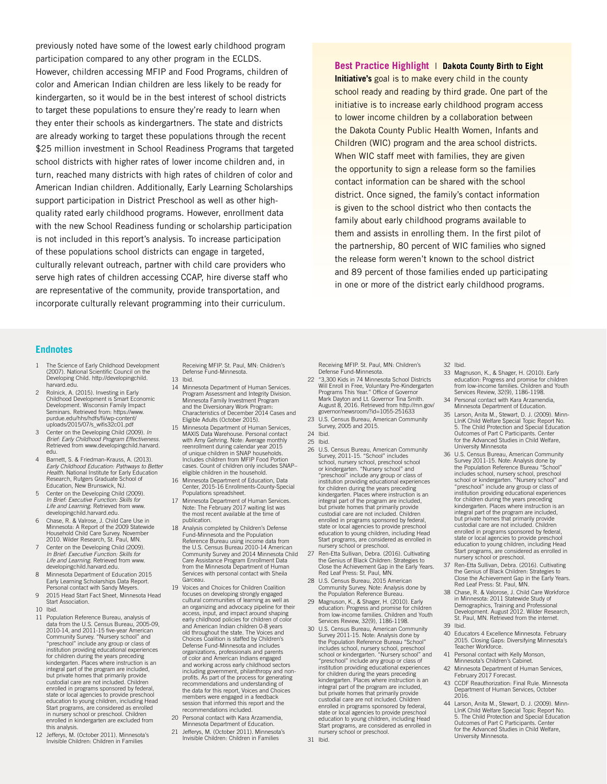previously noted have some of the lowest early childhood program participation compared to any other program in the ECLDS. However, children accessing MFIP and Food Programs, children of color and American Indian children are less likely to be ready for kindergarten, so it would be in the best interest of school districts to target these populations to ensure they're ready to learn when they enter their schools as kindergartners. The state and districts are already working to target these populations through the recent \$25 million investment in School Readiness Programs that targeted school districts with higher rates of lower income children and, in turn, reached many districts with high rates of children of color and American Indian children. Additionally, Early Learning Scholarships support participation in District Preschool as well as other highquality rated early childhood programs. However, enrollment data with the new School Readiness funding or scholarship participation is not included in this report's analysis. To increase participation of these populations school districts can engage in targeted, culturally relevant outreach, partner with child care providers who serve high rates of children accessing CCAP, hire diverse staff who are representative of the community, provide transportation, and incorporate culturally relevant programming into their curriculum.

### **Best Practice Highlight** | **Dakota County Birth to Eight**

**Initiative's** goal is to make every child in the county school ready and reading by third grade. One part of the initiative is to increase early childhood program access to lower income children by a collaboration between the Dakota County Public Health Women, Infants and Children (WIC) program and the area school districts. When WIC staff meet with families, they are given the opportunity to sign a release form so the families contact information can be shared with the school district. Once signed, the family's contact information is given to the school district who then contacts the family about early childhood programs available to them and assists in enrolling them. In the first pilot of the partnership, 80 percent of WIC families who signed the release form weren't known to the school district and 89 percent of those families ended up participating in one or more of the district early childhood programs.

### **Endnotes**

- The Science of Early Childhood Development (2007). National Scientific Council on the Developing Child. http://developingchild. harvard.edu.
- 2 Rolnick, A. (2015). Investing in Early Childhood Development is Smart Economic Development. Wisconsin Family Impact Seminars. Retrieved from: https://www. purdue.edu/hhs/hdfs/fii/wp-content/ uploads/2015/07/s\_wifis32c01.pdf
- 3 Center on the Developing Child (2009). *In Brief: Early Childhood Program Effectiveness.* Retrieved from www.developingchild.harvard. edu.
- 4 Barnett, S. & Friedman-Krauss, A. (2013). **Early Childhood Education: Pathways to Better** *Health.* National Institute for Early Education Research, Rutgers Graduate School of Education, New Brunswick, NJ.
- 5 Center on the Developing Child (2009). *In Brief: Executive Function: Skills for*  Life and Learning. Retrieved from www.<br>developingchild.harvard.edu.
- 6 Chase, R. & Valrose, J. Child Care Use in Minnesota: A Report of the 2009 Statewide Household Child Care Survey. November 2010. Wilder Research, St. Paul, MN.
- 7 Center on the Developing Child (2009). *In Brief: Executive Function: Skills for Life and Learning.* Retrieved from www. developingchild.harvard.edu.
- 8 Minnesota Department of Education 2015 Early Learning Scholarships Data Report. Personal contact with Sandy Meyers.
- 9 2015 Head Start Fact Sheet, Minnesota Head Start Association.
- 10 Ibid.
- 11 Population Reference Bureau, analysis of data from the U.S. Census Bureau, 2005-09, 2010-14, and 2011-15 five-year American Community Survey. "Nursery school" and "preschool" include any group or class of institution providing educational experiences for children during the years preceding kindergarten. Places where instruction is an integral part of the program are included, but private homes that primarily provide custodial care are not included. Children enrolled in programs sponsored by federal, state or local agencies to provide preschool education to young children, including Head Start programs, are considered as enrolled in nursery school or preschool. Children enrolled in kindergarten are excluded from this analysis.
- 12 Jefferys, M. (October 2011). Minnesota's Invisible Children: Children in Families

Receiving MFIP. St. Paul, MN: Children's Defense Fund-Minnesota. 13 Ibid.

- 14 Minnesota Department of Human Services. Program Assessment and Integrity Division. Minnesota Family Investment Program and the Diversionary Work Program: Characteristics of December 2014 Cases and Eligible Adults (October 2015).
- 15 Minnesota Department of Human Services, MAXIS Data Warehouse. Personal contact with Amy Gehring. Note: Average monthly reenrollment during calendar year 2015 of unique children in SNAP households. Includes children from MFIP Food Portio cases. Count of children only includes SNAP–
- eligible children in the household. 16 Minnesota Department of Education, Data Center, 2015-16 Enrollments-County-Special Populations spreadsheet.
- 17 Minnesota Department of Human Services. Note: The February 2017 waiting list was the most recent available at the time of publication.
- 18 Analysis completed by Children's Defense Fund-Minnesota and the Population Reference Bureau using income data from the U.S. Census Bureau 2010-14 American Community Survey and 2014 Minnesota Child Care Assistance Program Enrollment Data from the Minnesota Department of Human Services with personal contact with Sheila **Garceau**
- 19 Voices and Choices for Children Coalition focuses on developing strongly engaged<br>cultural communities of learning as well as cultural communities of learning as w an organizing and advocacy pipeline for their access, input, and impact around shaping early childhood policies for children of color and American Indian children 0-8 years old throughout the state. The Voices and Choices Coalition is staffed by Children's Defense Fund-Minnesota and includes organizations, professionals and parents of color and American Indians engaged and working across early childhood sectors including government, philanthropy and nonprofits. As part of the process for generating recommendations and understanding of the data for this report, Voices and Choices members were engaged in a feedback session that informed this report and the recommendations included.
- 20 Personal contact with Kara Arzamendia, Minnesota Department of Education. 21 Jefferys, M. (October 2011). Minnesota's
	- Invisible Children: Children in Families

Receiving MFIP. St. Paul, MN: Children's Defense Fund-Minnesota.

- 22 "3,300 Kids in 74 Minnesota School Districts Will Enroll in Free, Voluntary Pre-Kindergarten Programs This Year." Office of Governor Mark Dayton and Lt. Governor Tina Smith. August 8, 2016. Retrieved from http://mn.gov/ governor/newsroom/?id=1055-251633
- 23 U.S. Census Bureau, American Community Survey, 2005 and 2015.
- 24 Ibid.
- 25 Ibid.
- 26 U.S. Census Bureau, American Community Survey, 2011-15. "School" includes school, nursery school, preschool school or kindergarten. "Nursery school" and "preschool" include any group or class of institution providing educational experiences for children during the years preceding kindergarten. Places where instruction is an integral part of the program are included, but private homes that primarily provide custodial care are not included. Children enrolled in programs sponsored by federal state or local agencies to provide preschool education to young children, including Head Start programs, are considered as enrolled in nursery school or preschool.
- 27 Ren-Etta Sullivan, Debra. (2016). Cultivating the Genius of Black Children: Strategies to Close the Achievement Gap in the Early Years. Red Leaf Press: St. Paul, MN.
- 28 U.S. Census Bureau, 2015 American Community Survey. Note: Analysis done by the Population Reference Bureau.
- 29 Magnuson, K., & Shager, H. (2010). Early education: Progress and promise for children from low-income families. Children and Youth Services Review, 32(9), 1186-1198.
- 30 U.S. Census Bureau, American Community Survey 2011-15. Note: Analysis done by the Population Reference Bureau "School"<br>includes school, nursery school, preschool<br>school or kindergarten. "Nursery school" and<br>"preschool" include any group or class of institution providing educational experiences for children during the years preceding kindergarten. Places where instruction is an integral part of the program are included, but private homes that primarily provide custodial care are not included. Children enrolled in programs sponsored by federal state or local agencies to provide preschool education to young children, including Head Start programs, are considered as enrolled in nursery school or preschool.

#### 32 Ibid.

- 33 Magnuson, K., & Shager, H. (2010). Early education: Progress and promise for children<br>from low-income families. Children and Youth from low-income families. Children and Youth Services Review, 32(9), 1186-1198.
- 34 Personal contact with Kara Arzamendia, Minnesota Department of Education.
- 35 Larson, Anita M., Stewart, D. J. (2009). Minn-LInK Child Welfare Special Topic Report No. 5. The Child Protection and Special Education Outcomes of Part C Participants. Center for the Advanced Studies in Child Welfare, University Minnesota
- 36 U.S. Census Bureau, American Community Survey 2011-15. Note: Analysis done by the Population Reference Bureau "School" includes school, nursery school, preschool school or kindergarten. "Nursery school" and "preschool or kindergarten. "Nursery school"<br>"preschool" include any group or class of institution providing educational experiences for children during the years preceding kindergarten. Places where instruction is an integral part of the program are included, but private homes that primarily provide custodial care are not included. Children enrolled in programs sponsored by federal, state or local agencies to provide preschool education to young children, including Head Start programs, are considered as enrolled in nursery school or preschool.
- 37 Ren-Etta Sullivan, Debra. (2016). Cultivating the Genius of Black Children: Strategies to Close the Achievement Gap in the Early Years. Red Leaf Press: St. Paul, MN.
- 38 Chase, R. & Valorose, J. Child Care Workforce in Minnesota: 2011 Statewide Study of Demographics, Training and Professional Development. August 2012. Wilder Research, St. Paul, MN. Retrieved from the internet. 39 Ibid.
- 
- 40 Educators 4 Excellence Minnesota. February 2015. Closing Gaps: Diversifying Minnesota's Teacher Workforce.
- 41 Personal contact with Kelly Monson, Minnesota's Children's Cabinet.
- 42 Minnesota Department of Human Services, February 2017 Forecast.
- 43 CCDF Reauthorization: Final Rule. Minnesota Department of Human Services, October 2016.
- 44 Larson, Anita M., Stewart, D. J. (2009). Minn-LInK Child Welfare Special Topic Report No. 5. The Child Protection and Special Education Outcomes of Part C Participants. Center for the Advanced Studies in Child Welfare, University Minnesota.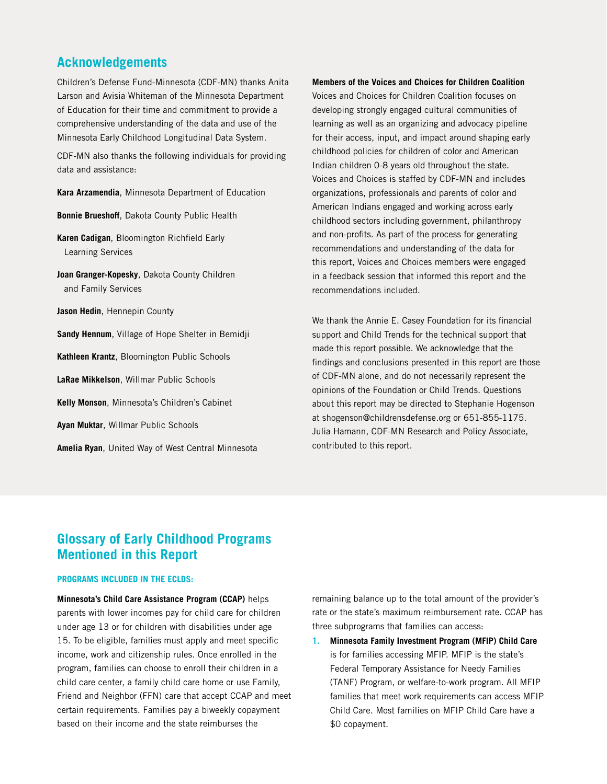# **Acknowledgements**

Children's Defense Fund-Minnesota (CDF-MN) thanks Anita Larson and Avisia Whiteman of the Minnesota Department of Education for their time and commitment to provide a comprehensive understanding of the data and use of the Minnesota Early Childhood Longitudinal Data System.

CDF-MN also thanks the following individuals for providing data and assistance:

**Kara Arzamendia**, Minnesota Department of Education

**Bonnie Brueshoff**, Dakota County Public Health

**Karen Cadigan**, Bloomington Richfield Early Learning Services

**Joan Granger-Kopesky**, Dakota County Children and Family Services

**Jason Hedin**, Hennepin County

**Sandy Hennum**, Village of Hope Shelter in Bemidji

**Kathleen Krantz**, Bloomington Public Schools

**LaRae Mikkelson**, Willmar Public Schools

**Kelly Monson**, Minnesota's Children's Cabinet

**Ayan Muktar**, Willmar Public Schools

**Amelia Ryan**, United Way of West Central Minnesota

**Members of the Voices and Choices for Children Coalition**

Voices and Choices for Children Coalition focuses on developing strongly engaged cultural communities of learning as well as an organizing and advocacy pipeline for their access, input, and impact around shaping early childhood policies for children of color and American Indian children 0-8 years old throughout the state. Voices and Choices is staffed by CDF-MN and includes organizations, professionals and parents of color and American Indians engaged and working across early childhood sectors including government, philanthropy and non-profits. As part of the process for generating recommendations and understanding of the data for this report, Voices and Choices members were engaged in a feedback session that informed this report and the recommendations included.

We thank the Annie E. Casey Foundation for its financial support and Child Trends for the technical support that made this report possible. We acknowledge that the findings and conclusions presented in this report are those of CDF-MN alone, and do not necessarily represent the opinions of the Foundation or Child Trends. Questions about this report may be directed to Stephanie Hogenson at shogenson@childrensdefense.org or 651-855-1175. Julia Hamann, CDF-MN Research and Policy Associate, contributed to this report.

# **Glossary of Early Childhood Programs Mentioned in this Report**

### **PROGRAMS INCLUDED IN THE ECLDS:**

**Minnesota's Child Care Assistance Program (CCAP)** helps parents with lower incomes pay for child care for children under age 13 or for children with disabilities under age 15. To be eligible, families must apply and meet specific income, work and citizenship rules. Once enrolled in the program, families can choose to enroll their children in a child care center, a family child care home or use Family, Friend and Neighbor (FFN) care that accept CCAP and meet certain requirements. Families pay a biweekly copayment based on their income and the state reimburses the

remaining balance up to the total amount of the provider's rate or the state's maximum reimbursement rate. CCAP has three subprograms that families can access:

**1. Minnesota Family Investment Program (MFIP) Child Care** is for families accessing MFIP. MFIP is the state's Federal Temporary Assistance for Needy Families (TANF) Program, or welfare-to-work program. All MFIP families that meet work requirements can access MFIP Child Care. Most families on MFIP Child Care have a \$0 copayment.